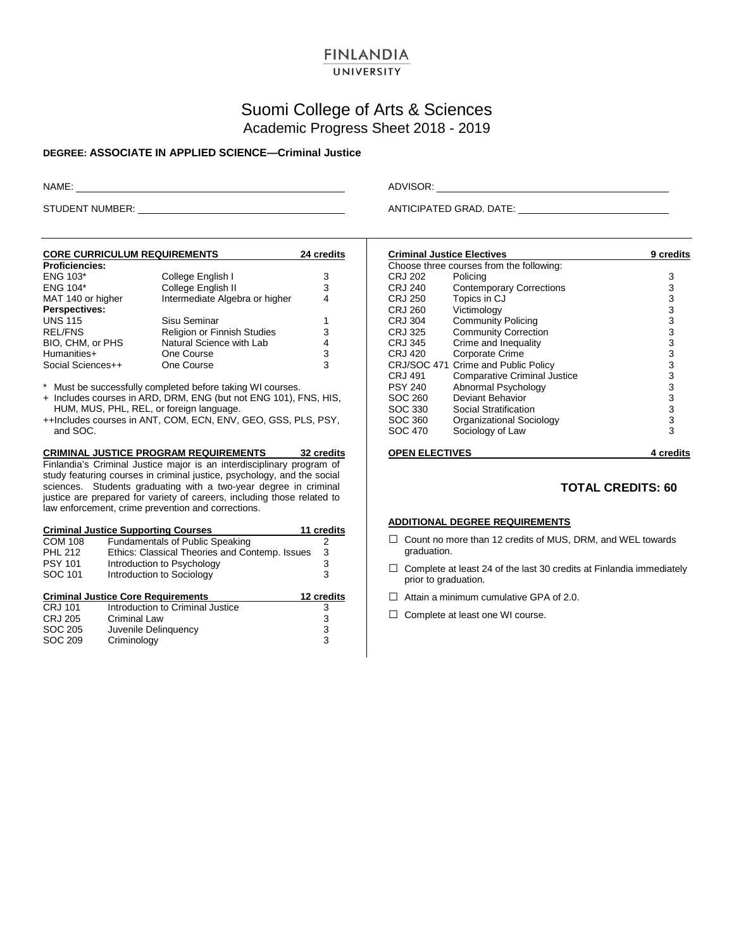# **FINLANDIA**

## UNIVERSITY

## Suomi College of Arts & Sciences Academic Progress Sheet 2018 - 2019

#### **DEGREE: ASSOCIATE IN APPLIED SCIENCE—Criminal Justice**

NAME: ADVISOR:

STUDENT NUMBER: ANTICIPATED GRAD. DATE:

| <b>CORE CURRICULUM REQUIREMENTS</b> | 24 credits                     |   |  |
|-------------------------------------|--------------------------------|---|--|
| <b>Proficiencies:</b>               |                                |   |  |
| <b>ENG 103*</b>                     | College English I              | 3 |  |
| <b>ENG 104*</b>                     | College English II             | 3 |  |
| MAT 140 or higher                   | Intermediate Algebra or higher | 4 |  |
| Perspectives:                       |                                |   |  |
| <b>UNS 115</b>                      | Sisu Seminar                   | 1 |  |
| <b>REL/FNS</b>                      | Religion or Finnish Studies    | 3 |  |
| BIO, CHM, or PHS                    | Natural Science with Lab       | 4 |  |
| Humanities+                         | One Course                     | 3 |  |
| Social Sciences++                   | One Course                     | 3 |  |

\* Must be successfully completed before taking WI courses.

+ Includes courses in ARD, DRM, ENG (but not ENG 101), FNS, HIS, HUM, MUS, PHL, REL, or foreign language.

++Includes courses in ANT, COM, ECN, ENV, GEO, GSS, PLS, PSY, and SOC.

**CRIMINAL JUSTICE PROGRAM REQUIREMENTS 32 credits** Finlandia's Criminal Justice major is an interdisciplinary program of study featuring courses in criminal justice, psychology, and the social sciences. Students graduating with a two-year degree in criminal justice are prepared for variety of careers, including those related to law enforcement, crime prevention and corrections.

| <b>Criminal Justice Supporting Courses</b> | 11 credits                                     |            |
|--------------------------------------------|------------------------------------------------|------------|
| <b>COM 108</b>                             | <b>Fundamentals of Public Speaking</b>         | 2          |
| <b>PHL 212</b>                             | Ethics: Classical Theories and Contemp. Issues | 3          |
| <b>PSY 101</b>                             | Introduction to Psychology                     | 3          |
| SOC 101                                    | Introduction to Sociology                      | 3          |
|                                            |                                                |            |
|                                            |                                                |            |
|                                            | <b>Criminal Justice Core Requirements</b>      | 12 credits |
| <b>CRJ 101</b>                             | Introduction to Criminal Justice               | 3          |
| <b>CRJ 205</b>                             | Criminal Law                                   | 3          |
| SOC 205                                    | Juvenile Delinquency                           | 3          |
| SOC 209                                    | Criminology                                    | 3          |

| <b>Criminal Justice Electives</b>        | 9 credits                           |   |  |  |
|------------------------------------------|-------------------------------------|---|--|--|
| Choose three courses from the following: |                                     |   |  |  |
| CRJ 202                                  | Policing                            | 3 |  |  |
| CRJ 240                                  | <b>Contemporary Corrections</b>     | 3 |  |  |
| CRJ 250                                  | Topics in CJ                        | 3 |  |  |
| CRJ 260                                  | Victimology                         | 3 |  |  |
| CRJ 304                                  | <b>Community Policing</b>           | 3 |  |  |
| CRJ 325                                  | <b>Community Correction</b>         | 3 |  |  |
| CRJ 345                                  | Crime and Inequality                | 3 |  |  |
| CRJ 420                                  | Corporate Crime                     | 3 |  |  |
|                                          | CRJ/SOC 471 Crime and Public Policy | 3 |  |  |
| CRJ 491                                  | <b>Comparative Criminal Justice</b> | 3 |  |  |
| <b>PSY 240</b>                           | Abnormal Psychology                 | 3 |  |  |
| SOC 260                                  | Deviant Behavior                    | 3 |  |  |
| SOC 330                                  | Social Stratification               | 3 |  |  |
| SOC 360                                  | Organizational Sociology            | 3 |  |  |
| SOC 470                                  | Sociology of Law                    | 3 |  |  |
| <b>OPEN ELECTIVES</b>                    | 4 credits                           |   |  |  |

#### **TOTAL CREDITS: 60**

#### **ADDITIONAL DEGREE REQUIREMENTS**

- □ Count no more than 12 credits of MUS, DRM, and WEL towards graduation.
- $\Box$  Complete at least 24 of the last 30 credits at Finlandia immediately prior to graduation.
- $\Box$  Attain a minimum cumulative GPA of 2.0.
- □ Complete at least one WI course.